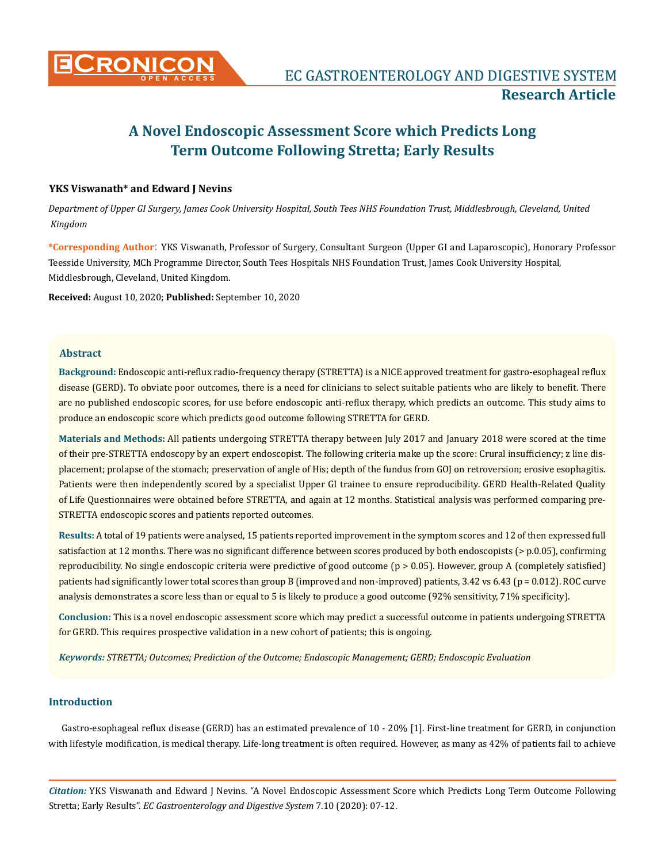

# **A Novel Endoscopic Assessment Score which Predicts Long Term Outcome Following Stretta; Early Results**

# **YKS Viswanath\* and Edward J Nevins**

*Department of Upper GI Surgery, James Cook University Hospital, South Tees NHS Foundation Trust, Middlesbrough, Cleveland, United Kingdom*

**\*Corresponding Author**: YKS Viswanath, Professor of Surgery, Consultant Surgeon (Upper GI and Laparoscopic), Honorary Professor Teesside University, MCh Programme Director, South Tees Hospitals NHS Foundation Trust, James Cook University Hospital, Middlesbrough, Cleveland, United Kingdom.

**Received:** August 10, 2020; **Published:** September 10, 2020

#### **Abstract**

**Background:** Endoscopic anti-reflux radio-frequency therapy (STRETTA) is a NICE approved treatment for gastro-esophageal reflux disease (GERD). To obviate poor outcomes, there is a need for clinicians to select suitable patients who are likely to benefit. There are no published endoscopic scores, for use before endoscopic anti-reflux therapy, which predicts an outcome. This study aims to produce an endoscopic score which predicts good outcome following STRETTA for GERD.

**Materials and Methods:** All patients undergoing STRETTA therapy between July 2017 and January 2018 were scored at the time of their pre-STRETTA endoscopy by an expert endoscopist. The following criteria make up the score: Crural insufficiency; z line displacement; prolapse of the stomach; preservation of angle of His; depth of the fundus from GOJ on retroversion; erosive esophagitis. Patients were then independently scored by a specialist Upper GI trainee to ensure reproducibility. GERD Health-Related Quality of Life Questionnaires were obtained before STRETTA, and again at 12 months. Statistical analysis was performed comparing pre-STRETTA endoscopic scores and patients reported outcomes.

**Results:** A total of 19 patients were analysed, 15 patients reported improvement in the symptom scores and 12 of then expressed full satisfaction at 12 months. There was no significant difference between scores produced by both endoscopists (> p.0.05), confirming reproducibility. No single endoscopic criteria were predictive of good outcome (p > 0.05). However, group A (completely satisfied) patients had significantly lower total scores than group B (improved and non-improved) patients, 3.42 vs 6.43 (p = 0.012). ROC curve analysis demonstrates a score less than or equal to 5 is likely to produce a good outcome (92% sensitivity, 71% specificity).

**Conclusion:** This is a novel endoscopic assessment score which may predict a successful outcome in patients undergoing STRETTA for GERD. This requires prospective validation in a new cohort of patients; this is ongoing.

*Keywords: STRETTA; Outcomes; Prediction of the Outcome; Endoscopic Management; GERD; Endoscopic Evaluation*

#### **Introduction**

Gastro-esophageal reflux disease (GERD) has an estimated prevalence of 10 - 20% [1]. First-line treatment for GERD, in conjunction with lifestyle modification, is medical therapy. Life-long treatment is often required. However, as many as 42% of patients fail to achieve

*Citation:* YKS Viswanath and Edward J Nevins. "A Novel Endoscopic Assessment Score which Predicts Long Term Outcome Following Stretta; Early Results". *EC Gastroenterology and Digestive System* 7.10 (2020): 07-12.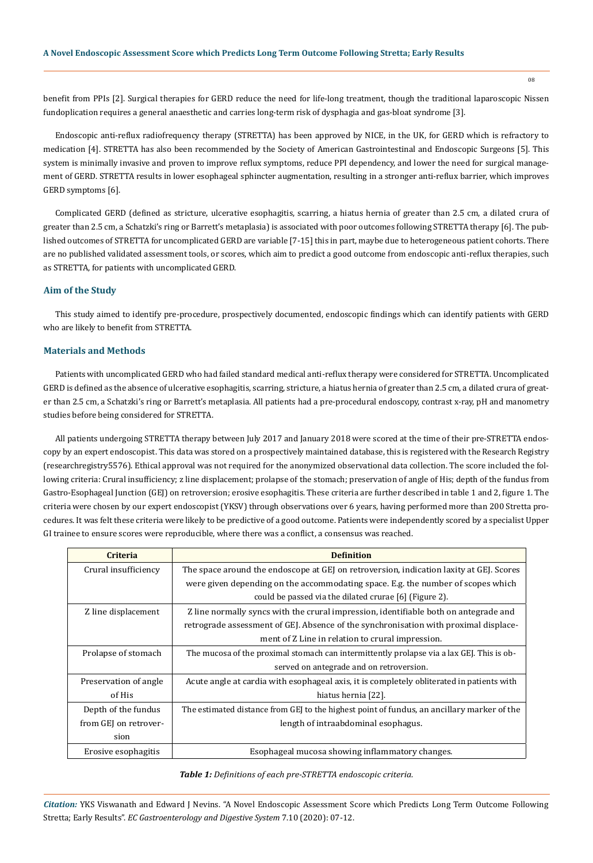benefit from PPIs [2]. Surgical therapies for GERD reduce the need for life-long treatment, though the traditional laparoscopic Nissen fundoplication requires a general anaesthetic and carries long-term risk of dysphagia and gas-bloat syndrome [3].

Endoscopic anti-reflux radiofrequency therapy (STRETTA) has been approved by NICE, in the UK, for GERD which is refractory to medication [4]. STRETTA has also been recommended by the Society of American Gastrointestinal and Endoscopic Surgeons [5]. This system is minimally invasive and proven to improve reflux symptoms, reduce PPI dependency, and lower the need for surgical management of GERD. STRETTA results in lower esophageal sphincter augmentation, resulting in a stronger anti-reflux barrier, which improves GERD symptoms [6].

Complicated GERD (defined as stricture, ulcerative esophagitis, scarring, a hiatus hernia of greater than 2.5 cm, a dilated crura of greater than 2.5 cm, a Schatzki's ring or Barrett's metaplasia) is associated with poor outcomes following STRETTA therapy [6]. The published outcomes of STRETTA for uncomplicated GERD are variable [7-15] this in part, maybe due to heterogeneous patient cohorts. There are no published validated assessment tools, or scores, which aim to predict a good outcome from endoscopic anti-reflux therapies, such as STRETTA, for patients with uncomplicated GERD.

#### **Aim of the Study**

This study aimed to identify pre-procedure, prospectively documented, endoscopic findings which can identify patients with GERD who are likely to benefit from STRETTA.

#### **Materials and Methods**

Patients with uncomplicated GERD who had failed standard medical anti-reflux therapy were considered for STRETTA. Uncomplicated GERD is defined as the absence of ulcerative esophagitis, scarring, stricture, a hiatus hernia of greater than 2.5 cm, a dilated crura of greater than 2.5 cm, a Schatzki's ring or Barrett's metaplasia. All patients had a pre-procedural endoscopy, contrast x-ray, pH and manometry studies before being considered for STRETTA.

All patients undergoing STRETTA therapy between July 2017 and January 2018 were scored at the time of their pre-STRETTA endoscopy by an expert endoscopist. This data was stored on a prospectively maintained database, this is registered with the Research Registry (researchregistry5576). Ethical approval was not required for the anonymized observational data collection. The score included the following criteria: Crural insufficiency; z line displacement; prolapse of the stomach; preservation of angle of His; depth of the fundus from Gastro-Esophageal Junction (GEJ) on retroversion; erosive esophagitis. These criteria are further described in table 1 and 2, figure 1. The criteria were chosen by our expert endoscopist (YKSV) through observations over 6 years, having performed more than 200 Stretta procedures. It was felt these criteria were likely to be predictive of a good outcome. Patients were independently scored by a specialist Upper GI trainee to ensure scores were reproducible, where there was a conflict, a consensus was reached.

| <b>Criteria</b>       | <b>Definition</b>                                                                          |
|-----------------------|--------------------------------------------------------------------------------------------|
| Crural insufficiency  | The space around the endoscope at GEJ on retroversion, indication laxity at GEJ. Scores    |
|                       | were given depending on the accommodating space. E.g. the number of scopes which           |
|                       | could be passed via the dilated crurae [6] (Figure 2).                                     |
| Z line displacement   | Z line normally syncs with the crural impression, identifiable both on antegrade and       |
|                       | retrograde assessment of GEJ. Absence of the synchronisation with proximal displace-       |
|                       | ment of Z Line in relation to crural impression.                                           |
| Prolapse of stomach   | The mucosa of the proximal stomach can intermittently prolapse via a lax GEJ. This is ob-  |
|                       | served on antegrade and on retroversion.                                                   |
| Preservation of angle | Acute angle at cardia with esophageal axis, it is completely obliterated in patients with  |
| of His                | hiatus hernia [22].                                                                        |
| Depth of the fundus   | The estimated distance from GEJ to the highest point of fundus, an ancillary marker of the |
| from GEJ on retrover- | length of intraabdominal esophagus.                                                        |
| sion                  |                                                                                            |
| Erosive esophagitis   | Esophageal mucosa showing inflammatory changes.                                            |

# *Table 1: Definitions of each pre-STRETTA endoscopic criteria.*

*Citation:* YKS Viswanath and Edward J Nevins. "A Novel Endoscopic Assessment Score which Predicts Long Term Outcome Following Stretta; Early Results". *EC Gastroenterology and Digestive System* 7.10 (2020): 07-12.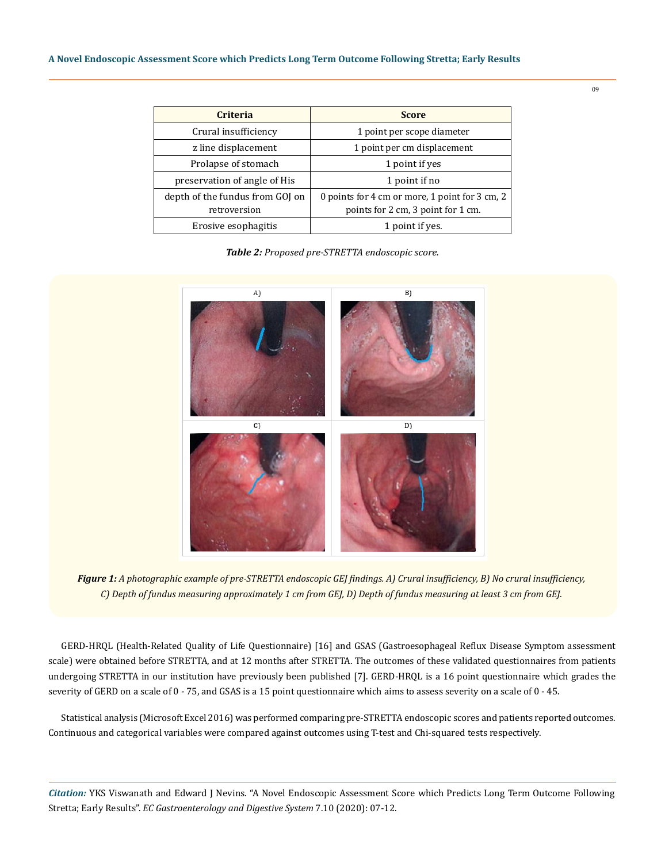| <b>Criteria</b>                                 | <b>Score</b>                                                                         |
|-------------------------------------------------|--------------------------------------------------------------------------------------|
| Crural insufficiency                            | 1 point per scope diameter                                                           |
| z line displacement                             | 1 point per cm displacement                                                          |
| Prolapse of stomach                             | 1 point if yes                                                                       |
| preservation of angle of His                    | 1 point if no                                                                        |
| depth of the fundus from GOJ on<br>retroversion | 0 points for 4 cm or more, 1 point for 3 cm, 2<br>points for 2 cm, 3 point for 1 cm. |
| Erosive esophagitis                             | 1 point if yes.                                                                      |

*Table 2: Proposed pre-STRETTA endoscopic score.*



*Figure 1: A photographic example of pre-STRETTA endoscopic GEJ findings. A) Crural insufficiency, B) No crural insufficiency, C) Depth of fundus measuring approximately 1 cm from GEJ, D) Depth of fundus measuring at least 3 cm from GEJ.*

GERD-HRQL (Health-Related Quality of Life Questionnaire) [16] and GSAS (Gastroesophageal Reflux Disease Symptom assessment scale) were obtained before STRETTA, and at 12 months after STRETTA. The outcomes of these validated questionnaires from patients undergoing STRETTA in our institution have previously been published [7]. GERD-HRQL is a 16 point questionnaire which grades the severity of GERD on a scale of 0 - 75, and GSAS is a 15 point questionnaire which aims to assess severity on a scale of 0 - 45.

Statistical analysis (Microsoft Excel 2016) was performed comparing pre-STRETTA endoscopic scores and patients reported outcomes. Continuous and categorical variables were compared against outcomes using T-test and Chi-squared tests respectively.

*Citation:* YKS Viswanath and Edward J Nevins. "A Novel Endoscopic Assessment Score which Predicts Long Term Outcome Following Stretta; Early Results". *EC Gastroenterology and Digestive System* 7.10 (2020): 07-12.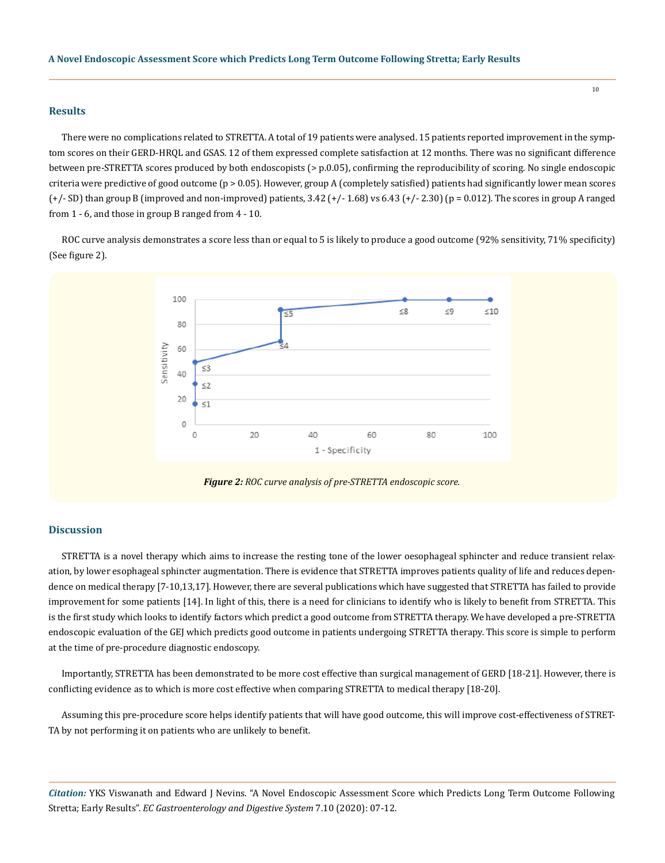#### **Results**

There were no complications related to STRETTA. A total of 19 patients were analysed. 15 patients reported improvement in the symptom scores on their GERD-HRQL and GSAS. 12 of them expressed complete satisfaction at 12 months. There was no significant difference between pre-STRETTA scores produced by both endoscopists (> p.0.05), confirming the reproducibility of scoring. No single endoscopic criteria were predictive of good outcome (p > 0.05). However, group A (completely satisfied) patients had significantly lower mean scores  $(+/- SD)$  than group B (improved and non-improved) patients,  $3.42 (+/- 1.68)$  vs  $6.43 (+/- 2.30)$  (p = 0.012). The scores in group A ranged from 1 - 6, and those in group B ranged from 4 - 10.

10

ROC curve analysis demonstrates a score less than or equal to 5 is likely to produce a good outcome (92% sensitivity, 71% specificity) (See figure 2).



*Figure 2: ROC curve analysis of pre-STRETTA endoscopic score.*

# **Discussion**

STRETTA is a novel therapy which aims to increase the resting tone of the lower oesophageal sphincter and reduce transient relaxation, by lower esophageal sphincter augmentation. There is evidence that STRETTA improves patients quality of life and reduces dependence on medical therapy [7-10,13,17]. However, there are several publications which have suggested that STRETTA has failed to provide improvement for some patients [14]. In light of this, there is a need for clinicians to identify who is likely to benefit from STRETTA. This is the first study which looks to identify factors which predict a good outcome from STRETTA therapy. We have developed a pre-STRETTA endoscopic evaluation of the GEJ which predicts good outcome in patients undergoing STRETTA therapy. This score is simple to perform at the time of pre-procedure diagnostic endoscopy.

Importantly, STRETTA has been demonstrated to be more cost effective than surgical management of GERD [18-21]. However, there is conflicting evidence as to which is more cost effective when comparing STRETTA to medical therapy [18-20].

Assuming this pre-procedure score helps identify patients that will have good outcome, this will improve cost-effectiveness of STRET-TA by not performing it on patients who are unlikely to benefit.

*Citation:* YKS Viswanath and Edward J Nevins. "A Novel Endoscopic Assessment Score which Predicts Long Term Outcome Following Stretta; Early Results". *EC Gastroenterology and Digestive System* 7.10 (2020): 07-12.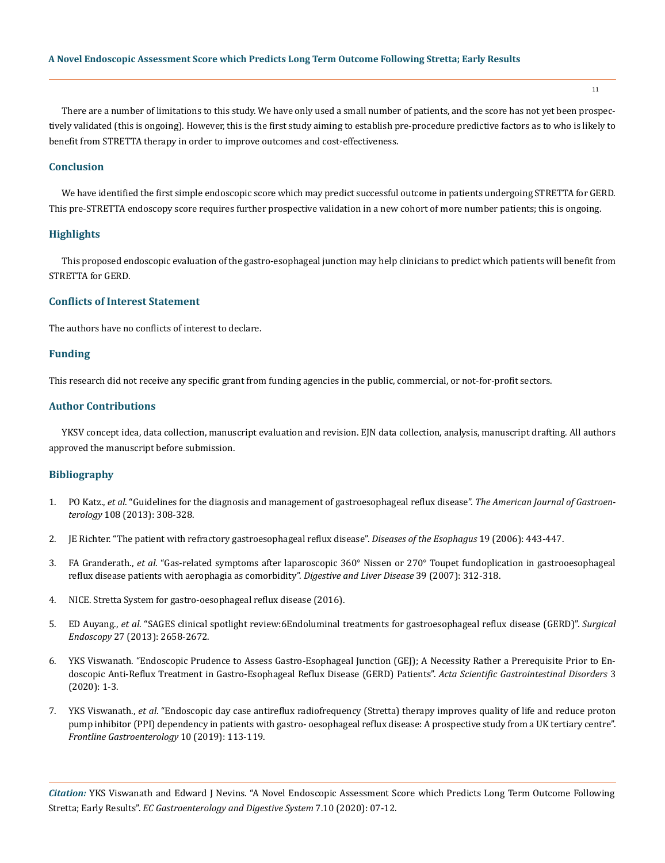There are a number of limitations to this study. We have only used a small number of patients, and the score has not yet been prospectively validated (this is ongoing). However, this is the first study aiming to establish pre-procedure predictive factors as to who is likely to benefit from STRETTA therapy in order to improve outcomes and cost-effectiveness.

#### **Conclusion**

We have identified the first simple endoscopic score which may predict successful outcome in patients undergoing STRETTA for GERD. This pre-STRETTA endoscopy score requires further prospective validation in a new cohort of more number patients; this is ongoing.

# **Highlights**

This proposed endoscopic evaluation of the gastro-esophageal junction may help clinicians to predict which patients will benefit from STRETTA for GERD.

#### **Conflicts of Interest Statement**

The authors have no conflicts of interest to declare.

# **Funding**

This research did not receive any specific grant from funding agencies in the public, commercial, or not-for-profit sectors.

# **Author Contributions**

YKSV concept idea, data collection, manuscript evaluation and revision. EJN data collection, analysis, manuscript drafting. All authors approved the manuscript before submission.

# **Bibliography**

- 1. PO Katz., *et al*[. "Guidelines for the diagnosis and management of gastroesophageal reflux disease".](https://journals.lww.com/ajg/Fulltext/2013/03000/Guidelines_for_the_Diagnosis_and_Management_of.6.aspx) *The American Journal of Gastroenterology* [108 \(2013\): 308-328.](https://journals.lww.com/ajg/Fulltext/2013/03000/Guidelines_for_the_Diagnosis_and_Management_of.6.aspx)
- 2. [JE Richter. "The patient with refractory gastroesophageal reflux disease".](https://www.ncbi.nlm.nih.gov/pmc/articles/PMC3959500/) *Diseases of the Esophagus* 19 (2006): 443-447.
- 3. FA Granderath., *et al*[. "Gas-related symptoms after laparoscopic 360° Nissen or 270° Toupet fundoplication in gastrooesophageal](https://pubmed.ncbi.nlm.nih.gov/17306636/)  [reflux disease patients with aerophagia as comorbidity".](https://pubmed.ncbi.nlm.nih.gov/17306636/) *Digestive and Liver Disease* 39 (2007): 312-318.
- 4. NICE. Stretta System for gastro-oesophageal reflux disease (2016).
- 5. ED Auyang., *et al*[. "SAGES clinical spotlight review:6Endoluminal treatments for gastroesophageal reflux disease \(GERD\)".](https://scholarlycommons.libraryinfo.bhs.org/all_works/7418/) *Surgical Endoscopy* [27 \(2013\): 2658-2672.](https://scholarlycommons.libraryinfo.bhs.org/all_works/7418/)
- 6. YKS Viswanath. "Endoscopic Prudence to Assess Gastro-Esophageal Junction (GEJ); A Necessity Rather a Prerequisite Prior to Endoscopic Anti-Reflux Treatment in Gastro-Esophageal Reflux Disease (GERD) Patients". *Acta Scientific Gastrointestinal Disorders* 3 (2020): 1-3.
- 7. YKS Viswanath., *et al*[. "Endoscopic day case antireflux radiofrequency \(Stretta\) therapy improves quality of life and reduce proton](https://pubmed.ncbi.nlm.nih.gov/31205650/)  [pump inhibitor \(PPI\) dependency in patients with gastro- oesophageal reflux disease: A prospective study from a UK tertiary centre".](https://pubmed.ncbi.nlm.nih.gov/31205650/)  *[Frontline Gastroenterology](https://pubmed.ncbi.nlm.nih.gov/31205650/)* 10 (2019): 113-119.

*Citation:* YKS Viswanath and Edward J Nevins. "A Novel Endoscopic Assessment Score which Predicts Long Term Outcome Following Stretta; Early Results". *EC Gastroenterology and Digestive System* 7.10 (2020): 07-12.